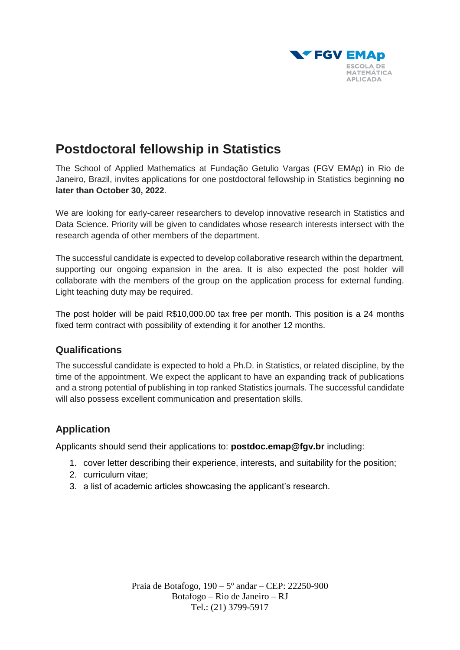

## **Postdoctoral fellowship in Statistics**

The School of Applied Mathematics at Fundação Getulio Vargas (FGV EMAp) in Rio de Janeiro, Brazil, invites applications for one postdoctoral fellowship in Statistics beginning **no later than October 30, 2022**.

We are looking for early-career researchers to develop innovative research in Statistics and Data Science. Priority will be given to candidates whose research interests intersect with the research agenda of other members of the department.

The successful candidate is expected to develop collaborative research within the department, supporting our ongoing expansion in the area. It is also expected the post holder will collaborate with the members of the group on the application process for external funding. Light teaching duty may be required.

The post holder will be paid R\$10,000.00 tax free per month. This position is a 24 months fixed term contract with possibility of extending it for another 12 months.

## **Qualifications**

The successful candidate is expected to hold a Ph.D. in Statistics, or related discipline, by the time of the appointment. We expect the applicant to have an expanding track of publications and a strong potential of publishing in top ranked Statistics journals. The successful candidate will also possess excellent communication and presentation skills.

## **Application**

Applicants should send their applications to: **[postdoc.emap@fgv.br](mailto:postdoc.emap@fgv.br)** including:

- 1. cover letter describing their experience, interests, and suitability for the position;
- 2. curriculum vitae;
- 3. a list of academic articles showcasing the applicant's research.

Praia de Botafogo, 190 – 5º andar – CEP: 22250-900 Botafogo – Rio de Janeiro – RJ Tel.: (21) 3799-5917